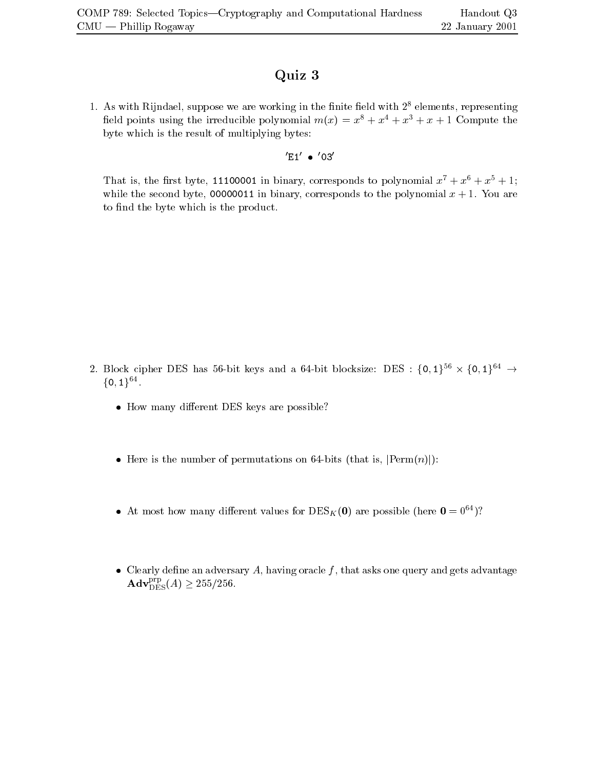## Quiz <sup>3</sup>

1. As with Rijndael, suppose we are working in the finite field with  $2<sup>8</sup>$  elements, representing field points using the irreducible polynomial  $m(x) = x^8 + x^4 + x^3 + x + 1$  Compute the byte which is the result of multiplying bytes:

0E10 0030

That is, the first byte, 11100001 in binary, corresponds to polynomial  $x^7 + x^6 + x^5 + 1$ ; while the second byte, 00000011 in binary, corresponds to the polynomial  $x + 1$ . You are to find the byte which is the product.

- 2. Block cipher DES has 56-bit keys and a 64-bit blocksize: DES :  $\{0,1\}^{bb} \times \{0,1\}^{64}$   $\rightarrow$  $\{0,1\}^{64}.$ 
	- $\bullet$  How many different DES keys are possible:
	- Here is the number of permutations on 64-bits (that is,  $|\text{Perm}(n)|$ ):
	- $\bullet$  At most how many different values for DES<sub>K</sub>(0) are possible (here  $0 = 0^{\circ}$ )?
	- $\bullet\;$  Clearly define an adversary  $A,$  having oracle  $f,$  that asks one query and gets advantage  $\mathbf{Adv}_{\mathrm{DES}}^{\mathrm{PP}}(A) \geq 255/256.$